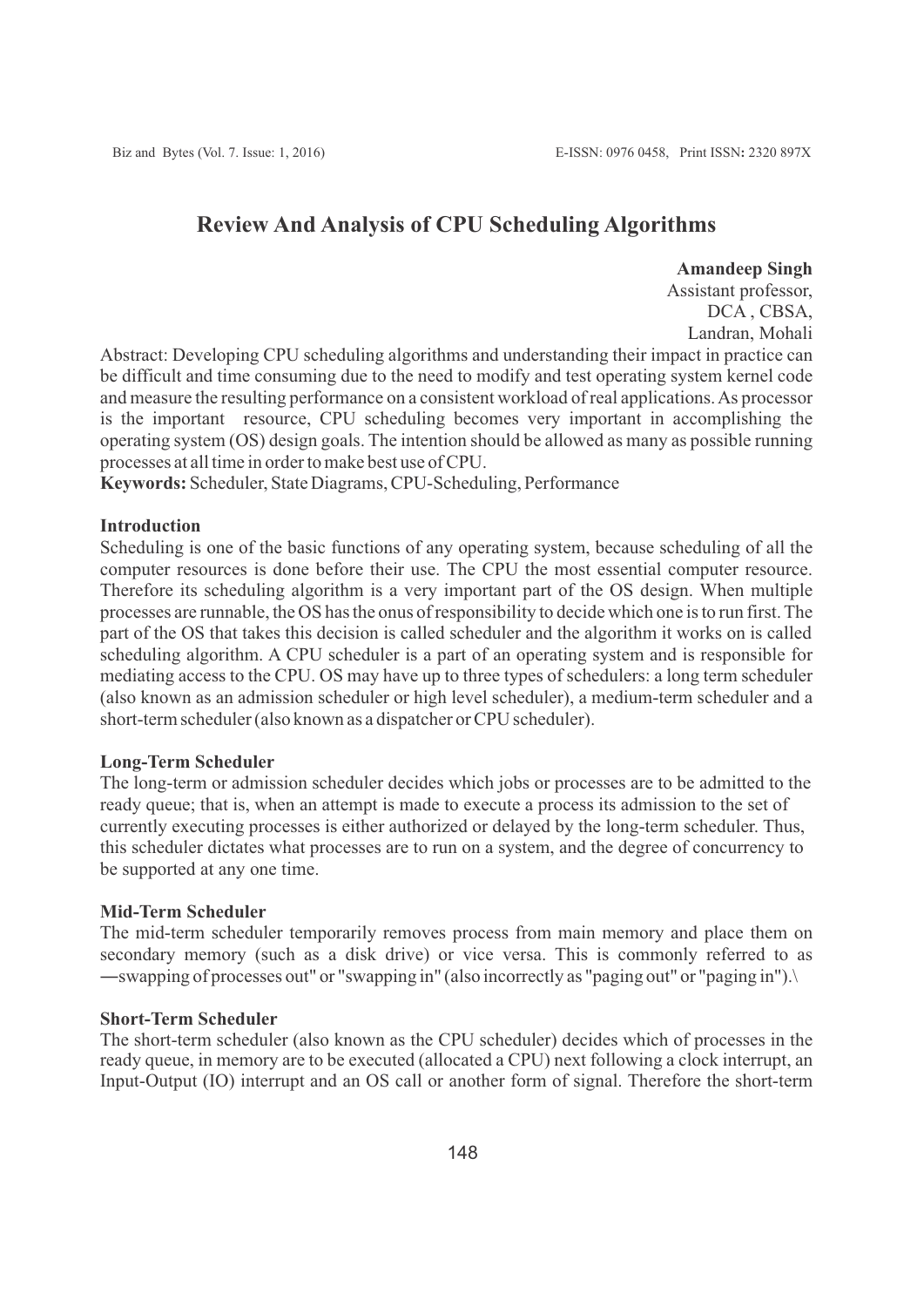# **Review And Analysis of CPU Scheduling Algorithms**

#### **Amandeep Singh**

Assistant professor, DCA , CBSA, Landran, Mohali

Abstract: Developing CPU scheduling algorithms and understanding their impact in practice can be difficult and time consuming due to the need to modify and test operating system kernel code and measure the resulting performance on a consistent workload of real applications. As processor is the important resource, CPU scheduling becomes very important in accomplishing the operating system (OS) design goals. The intention should be allowed as many as possible running processes at all time in order to make best use of CPU.

**Keywords:** Scheduler, State Diagrams, CPU-Scheduling, Performance

#### **Introduction**

Scheduling is one of the basic functions of any operating system, because scheduling of all the computer resources is done before their use. The CPU the most essential computer resource. Therefore its scheduling algorithm is a very important part of the OS design. When multiple processes are runnable, the OS has the onus of responsibility to decide which one is to run first. The part of the OS that takes this decision is called scheduler and the algorithm it works on is called scheduling algorithm. A CPU scheduler is a part of an operating system and is responsible for mediating access to the CPU. OS may have up to three types of schedulers: a long term scheduler (also known as an admission scheduler or high level scheduler), a medium-term scheduler and a short-term scheduler (also known as a dispatcher or CPU scheduler).

#### **Long-Term Scheduler**

The long-term or admission scheduler decides which jobs or processes are to be admitted to the ready queue; that is, when an attempt is made to execute a process its admission to the set of currently executing processes is either authorized or delayed by the long-term scheduler. Thus, this scheduler dictates what processes are to run on a system, and the degree of concurrency to be supported at any one time.

# **Mid-Term Scheduler**

The mid-term scheduler temporarily removes process from main memory and place them on secondary memory (such as a disk drive) or vice versa. This is commonly referred to as ―swapping of processes out" or "swapping in" (also incorrectly as "paging out" or "paging in").\

### **Short-Term Scheduler**

The short-term scheduler (also known as the CPU scheduler) decides which of processes in the ready queue, in memory are to be executed (allocated a CPU) next following a clock interrupt, an Input-Output (IO) interrupt and an OS call or another form of signal. Therefore the short-term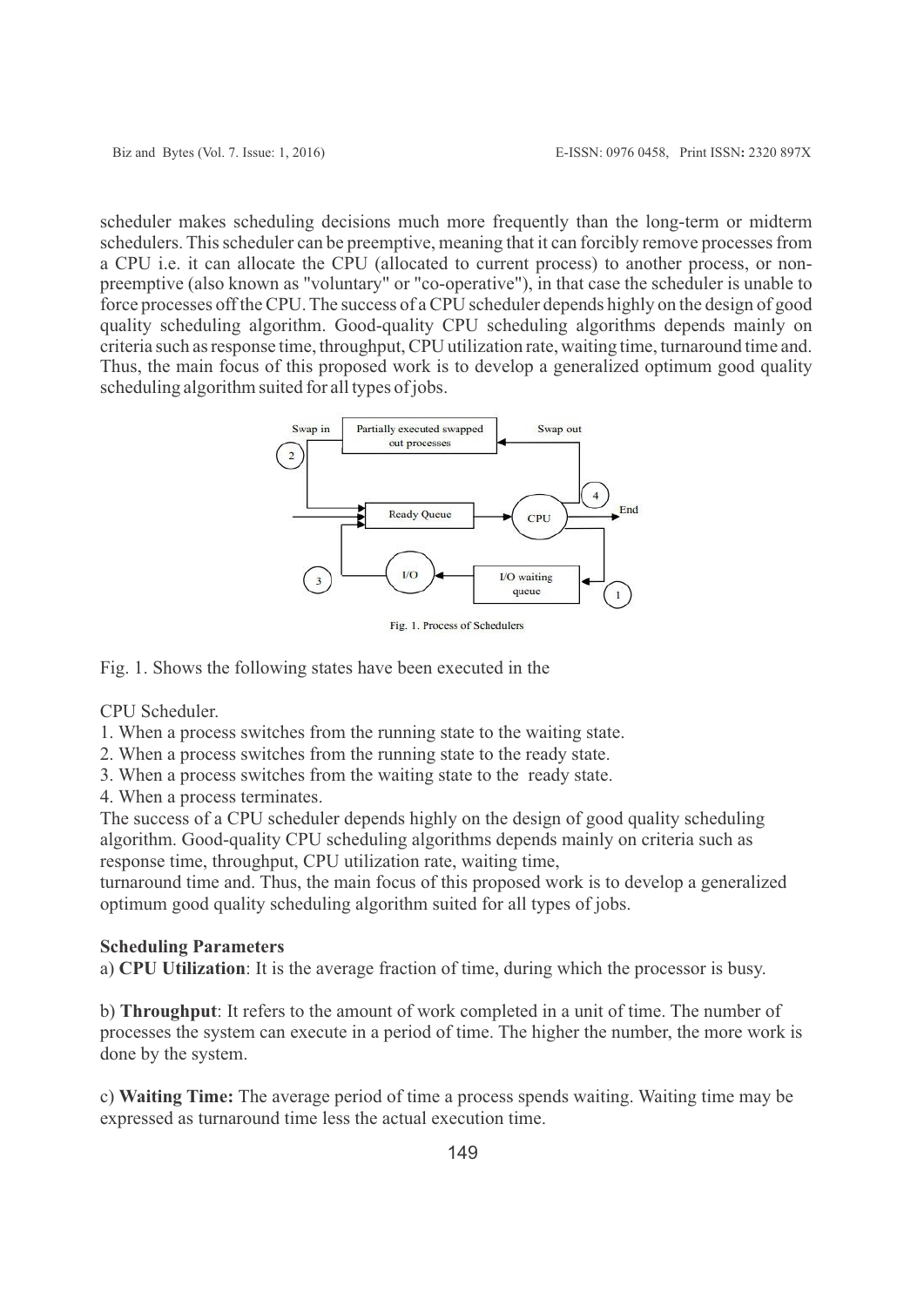scheduler makes scheduling decisions much more frequently than the long-term or midterm schedulers. This scheduler can be preemptive, meaning that it can forcibly remove processes from a CPU i.e. it can allocate the CPU (allocated to current process) to another process, or nonpreemptive (also known as "voluntary" or "co-operative"), in that case the scheduler is unable to force processes off the CPU. The success of a CPU scheduler depends highly on the design of good quality scheduling algorithm. Good-quality CPU scheduling algorithms depends mainly on criteria such as response time, throughput, CPU utilization rate, waiting time, turnaround time and. Thus, the main focus of this proposed work is to develop a generalized optimum good quality scheduling algorithm suited for all types of jobs.



Fig. 1. Process of Schedulers

Fig. 1. Shows the following states have been executed in the

CPU Scheduler.

- 1. When a process switches from the running state to the waiting state.
- 2. When a process switches from the running state to the ready state.
- 3. When a process switches from the waiting state to the ready state.
- 4. When a process terminates.

The success of a CPU scheduler depends highly on the design of good quality scheduling algorithm. Good-quality CPU scheduling algorithms depends mainly on criteria such as response time, throughput, CPU utilization rate, waiting time,

turnaround time and. Thus, the main focus of this proposed work is to develop a generalized optimum good quality scheduling algorithm suited for all types of jobs.

#### **Scheduling Parameters**

a) **CPU Utilization**: It is the average fraction of time, during which the processor is busy.

b) **Throughput**: It refers to the amount of work completed in a unit of time. The number of processes the system can execute in a period of time. The higher the number, the more work is done by the system.

c) **Waiting Time:** The average period of time a process spends waiting. Waiting time may be expressed as turnaround time less the actual execution time.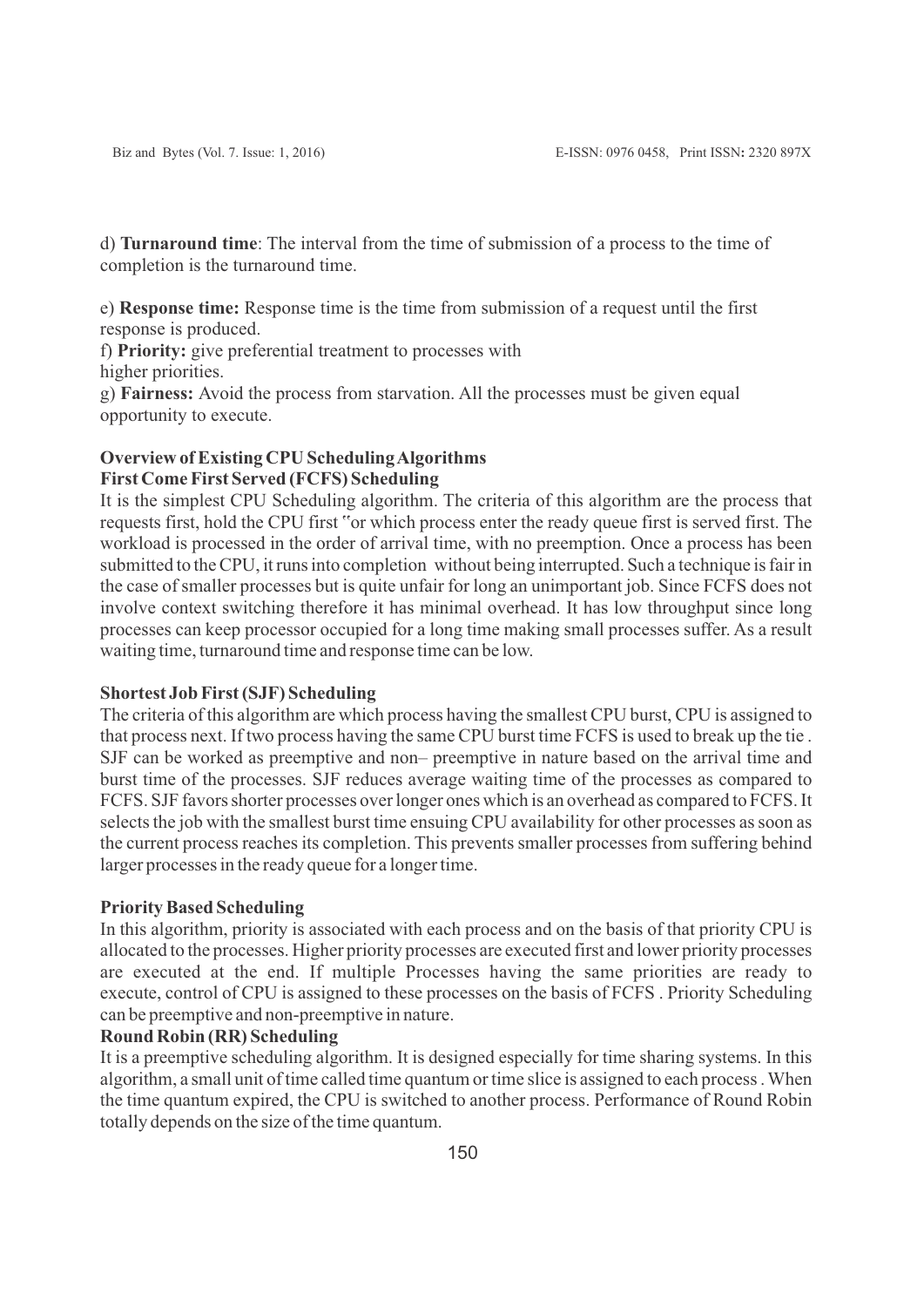d) **Turnaround time**: The interval from the time of submission of a process to the time of completion is the turnaround time.

e) **Response time:** Response time is the time from submission of a request until the first response is produced.

f) **Priority:** give preferential treatment to processes with higher priorities.

g) **Fairness:** Avoid the process from starvation. All the processes must be given equal opportunity to execute.

# **Overview of Existing CPU Scheduling Algorithms First Come First Served (FCFS) Scheduling**

It is the simplest CPU Scheduling algorithm. The criteria of this algorithm are the process that requests first, hold the CPU first "or which process enter the ready queue first is served first. The workload is processed in the order of arrival time, with no preemption. Once a process has been submitted to the CPU, it runs into completion without being interrupted. Such a technique is fair in the case of smaller processes but is quite unfair for long an unimportant job. Since FCFS does not involve context switching therefore it has minimal overhead. It has low throughput since long processes can keep processor occupied for a long time making small processes suffer. As a result waiting time, turnaround time and response time can be low.

#### **Shortest Job First (SJF) Scheduling**

The criteria of this algorithm are which process having the smallest CPU burst, CPU is assigned to that process next. If two process having the same CPU burst time FCFS is used to break up the tie . SJF can be worked as preemptive and non– preemptive in nature based on the arrival time and burst time of the processes. SJF reduces average waiting time of the processes as compared to FCFS. SJF favors shorter processes over longer ones which is an overhead as compared to FCFS. It selects the job with the smallest burst time ensuing CPU availability for other processes as soon as the current process reaches its completion. This prevents smaller processes from suffering behind larger processes in the ready queue for a longer time.

#### **Priority Based Scheduling**

In this algorithm, priority is associated with each process and on the basis of that priority CPU is allocated to the processes. Higher priority processes are executed first and lower priority processes are executed at the end. If multiple Processes having the same priorities are ready to execute, control of CPU is assigned to these processes on the basis of FCFS . Priority Scheduling can be preemptive and non-preemptive in nature.

# **Round Robin (RR) Scheduling**

It is a preemptive scheduling algorithm. It is designed especially for time sharing systems. In this algorithm, a small unit of time called time quantum or time slice is assigned to each process . When the time quantum expired, the CPU is switched to another process. Performance of Round Robin totally depends on the size of the time quantum.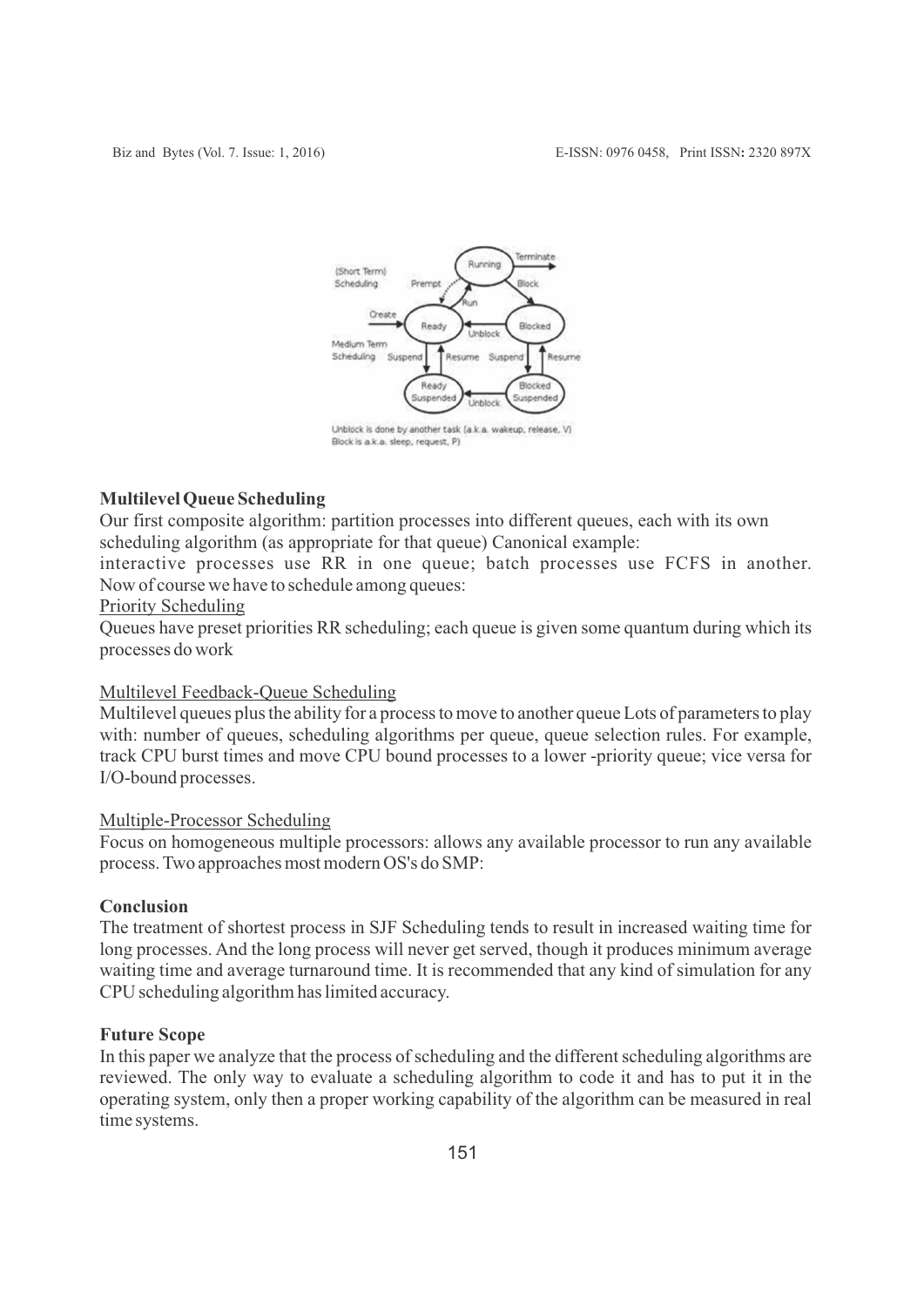

## **Multilevel Queue Scheduling**

Our first composite algorithm: partition processes into different queues, each with its own scheduling algorithm (as appropriate for that queue) Canonical example:

interactive processes use RR in one queue; batch processes use FCFS in another. Now of course we have to schedule among queues:

### Priority Scheduling

Queues have preset priorities RR scheduling; each queue is given some quantum during which its processes do work

### Multilevel Feedback-Queue Scheduling

Multilevel queues plus the ability for a process to move to another queue Lots of parameters to play with: number of queues, scheduling algorithms per queue, queue selection rules. For example, track CPU burst times and move CPU bound processes to a lower -priority queue; vice versa for I/O-bound processes.

#### Multiple-Processor Scheduling

Focus on homogeneous multiple processors: allows any available processor to run any available process. Two approaches most modern OS's do SMP:

#### **Conclusion**

The treatment of shortest process in SJF Scheduling tends to result in increased waiting time for long processes. And the long process will never get served, though it produces minimum average waiting time and average turnaround time. It is recommended that any kind of simulation for any CPU scheduling algorithm has limited accuracy.

### **Future Scope**

In this paper we analyze that the process of scheduling and the different scheduling algorithms are reviewed. The only way to evaluate a scheduling algorithm to code it and has to put it in the operating system, only then a proper working capability of the algorithm can be measured in real time systems.